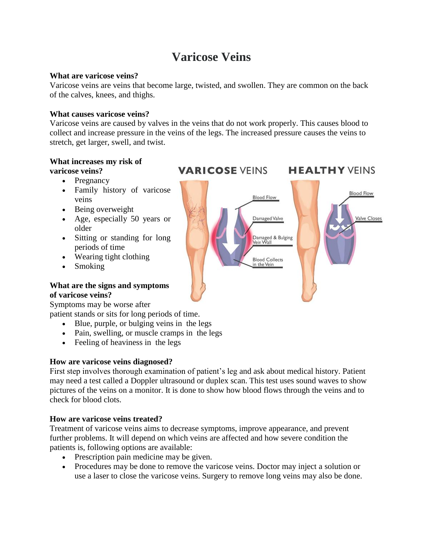# **Varicose Veins**

#### **What are varicose veins?**

Varicose veins are veins that become large, twisted, and swollen. They are common on the back of the calves, knees, and thighs.

#### **What causes varicose veins?**

Varicose veins are caused by valves in the veins that do not work properly. This causes blood to collect and increase pressure in the veins of the legs. The increased pressure causes the veins to stretch, get larger, swell, and twist.

#### **What increases my risk of varicose veins?**

- Pregnancy
- Family history of varicose veins
- Being overweight
- Age, especially 50 years or older
- Sitting or standing for long periods of time
- Wearing tight clothing
- Smoking

#### **What are the signs and symptoms of varicose veins?**

Symptoms may be worse after

patient stands or sits for long periods of time.

- Blue, purple, or bulging veins in the legs
- Pain, swelling, or muscle cramps in the legs
- Feeling of heaviness in the legs

## **How are varicose veins diagnosed?**

First step involves thorough examination of patient's leg and ask about medical history. Patient may need a test called a Doppler ultrasound or duplex scan. This test uses sound waves to show pictures of the veins on a monitor. It is done to show how blood flows through the veins and to check for blood clots.

## **How are varicose veins treated?**

Treatment of varicose veins aims to decrease symptoms, improve appearance, and prevent further problems. It will depend on which veins are affected and how severe condition the patients is, following options are available:

- Prescription pain medicine may be given.
- Procedures may be done to remove the varicose veins. Doctor may inject a solution or use a laser to close the varicose veins. Surgery to remove long veins may also be done.